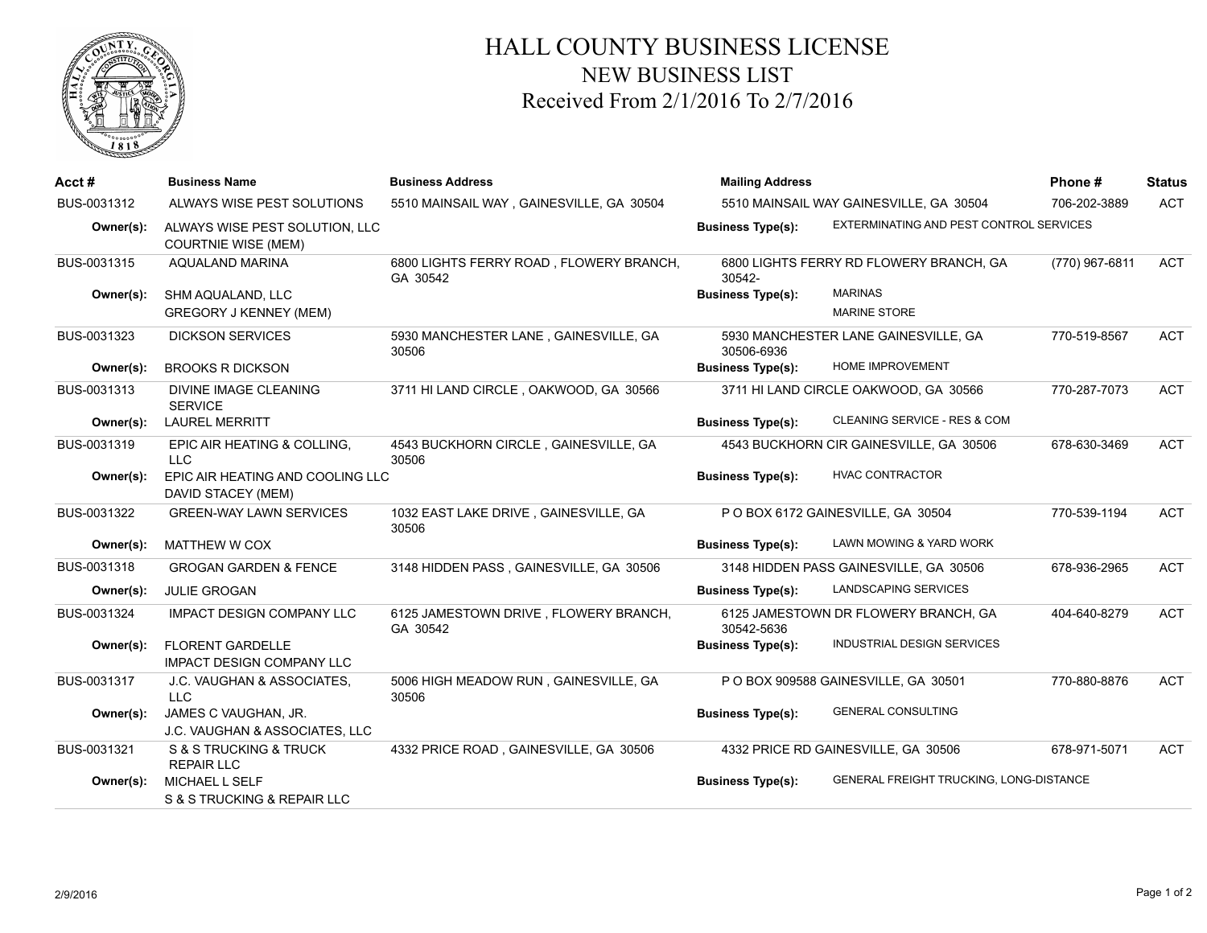

## HALL COUNTY BUSINESS LICENSE NEW BUSINESS LIST Received From 2/1/2016 To 2/7/2016

| Acct#       | <b>Business Name</b>                                         | <b>Business Address</b>                             | <b>Mailing Address</b>                  |                                         | Phone#         | <b>Status</b> |
|-------------|--------------------------------------------------------------|-----------------------------------------------------|-----------------------------------------|-----------------------------------------|----------------|---------------|
| BUS-0031312 | ALWAYS WISE PEST SOLUTIONS                                   | 5510 MAINSAIL WAY, GAINESVILLE, GA 30504            | 5510 MAINSAIL WAY GAINESVILLE, GA 30504 |                                         | 706-202-3889   | <b>ACT</b>    |
| Owner(s):   | ALWAYS WISE PEST SOLUTION, LLC<br><b>COURTNIE WISE (MEM)</b> |                                                     | <b>Business Type(s):</b>                | EXTERMINATING AND PEST CONTROL SERVICES |                |               |
| BUS-0031315 | AQUALAND MARINA                                              | 6800 LIGHTS FERRY ROAD, FLOWERY BRANCH,<br>GA 30542 | 30542-                                  | 6800 LIGHTS FERRY RD FLOWERY BRANCH, GA | (770) 967-6811 | <b>ACT</b>    |
| Owner(s):   | SHM AQUALAND, LLC<br><b>GREGORY J KENNEY (MEM)</b>           |                                                     | <b>Business Type(s):</b>                | <b>MARINAS</b><br><b>MARINE STORE</b>   |                |               |
| BUS-0031323 | <b>DICKSON SERVICES</b>                                      | 5930 MANCHESTER LANE, GAINESVILLE, GA<br>30506      | 30506-6936                              | 5930 MANCHESTER LANE GAINESVILLE, GA    | 770-519-8567   | <b>ACT</b>    |
| Owner(s):   | <b>BROOKS R DICKSON</b>                                      |                                                     | <b>Business Type(s):</b>                | HOME IMPROVEMENT                        |                |               |
| BUS-0031313 | <b>DIVINE IMAGE CLEANING</b><br><b>SERVICE</b>               | 3711 HI LAND CIRCLE, OAKWOOD, GA 30566              |                                         | 3711 HI LAND CIRCLE OAKWOOD, GA 30566   | 770-287-7073   | <b>ACT</b>    |
| Owner(s):   | <b>LAUREL MERRITT</b>                                        |                                                     | <b>Business Type(s):</b>                | CLEANING SERVICE - RES & COM            |                |               |
| BUS-0031319 | EPIC AIR HEATING & COLLING.<br><b>LLC</b>                    | 4543 BUCKHORN CIRCLE, GAINESVILLE, GA<br>30506      |                                         | 4543 BUCKHORN CIR GAINESVILLE, GA 30506 | 678-630-3469   | ACT           |
| Owner(s):   | EPIC AIR HEATING AND COOLING LLC<br>DAVID STACEY (MEM)       |                                                     | <b>Business Type(s):</b>                | <b>HVAC CONTRACTOR</b>                  |                |               |
| BUS-0031322 | <b>GREEN-WAY LAWN SERVICES</b>                               | 1032 EAST LAKE DRIVE, GAINESVILLE, GA<br>30506      |                                         | P O BOX 6172 GAINESVILLE, GA 30504      | 770-539-1194   | <b>ACT</b>    |
| Owner(s):   | MATTHEW W COX                                                |                                                     | <b>Business Type(s):</b>                | LAWN MOWING & YARD WORK                 |                |               |
| BUS-0031318 | <b>GROGAN GARDEN &amp; FENCE</b>                             | 3148 HIDDEN PASS, GAINESVILLE, GA 30506             |                                         | 3148 HIDDEN PASS GAINESVILLE, GA 30506  | 678-936-2965   | <b>ACT</b>    |
| Owner(s):   | <b>JULIE GROGAN</b>                                          |                                                     | <b>Business Type(s):</b>                | LANDSCAPING SERVICES                    |                |               |
| BUS-0031324 | <b>IMPACT DESIGN COMPANY LLC</b>                             | 6125 JAMESTOWN DRIVE, FLOWERY BRANCH,<br>GA 30542   | 30542-5636                              | 6125 JAMESTOWN DR FLOWERY BRANCH, GA    | 404-640-8279   | <b>ACT</b>    |
| Owner(s):   | <b>FLORENT GARDELLE</b><br><b>IMPACT DESIGN COMPANY LLC</b>  |                                                     | <b>Business Type(s):</b>                | <b>INDUSTRIAL DESIGN SERVICES</b>       |                |               |
| BUS-0031317 | J.C. VAUGHAN & ASSOCIATES,<br><b>LLC</b>                     | 5006 HIGH MEADOW RUN, GAINESVILLE, GA<br>30506      |                                         | P O BOX 909588 GAINESVILLE, GA 30501    | 770-880-8876   | <b>ACT</b>    |
| Owner(s):   | JAMES C VAUGHAN, JR.<br>J.C. VAUGHAN & ASSOCIATES, LLC       |                                                     | <b>Business Type(s):</b>                | <b>GENERAL CONSULTING</b>               |                |               |
| BUS-0031321 | S & S TRUCKING & TRUCK<br><b>REPAIR LLC</b>                  | 4332 PRICE ROAD, GAINESVILLE, GA 30506              |                                         | 4332 PRICE RD GAINESVILLE, GA 30506     | 678-971-5071   | <b>ACT</b>    |
| Owner(s):   | MICHAEL L SELF<br>S & S TRUCKING & REPAIR LLC                |                                                     | <b>Business Type(s):</b>                | GENERAL FREIGHT TRUCKING, LONG-DISTANCE |                |               |